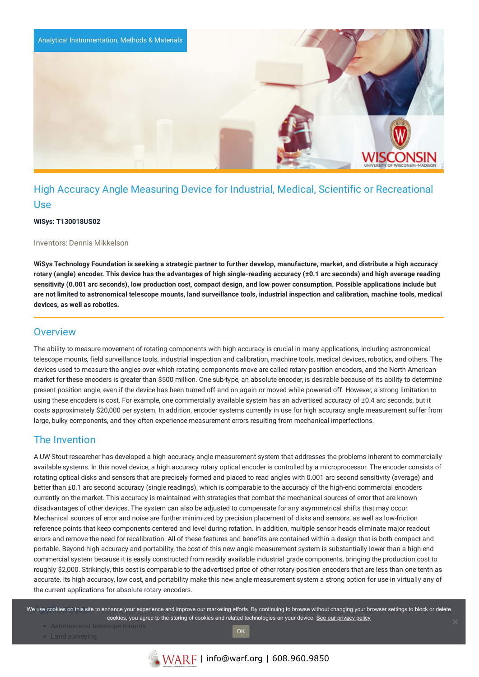

# High Accuracy Angle Measuring Device for Industrial, Medical, Scientific or Recreational Use

#### **WiSys: T130018US02**

#### Inventors: Dennis Mikkelson

WiSys Technology Foundation is seeking a strategic partner to further develop, manufacture, market, and distribute a high accuracy rotary (angle) encoder. This device has the advantages of high single-reading accuracy (±0.1 arc seconds) and high average reading sensitivity (0.001 arc seconds), low production cost, compact design, and low power consumption. Possible applications include but are not limited to astronomical telescope mounts, land surveillance tools, industrial inspection and calibration, machine tools, medical **devices, as well as robotics.**

### **Overview**

The ability to measure movement of rotating components with high accuracy is crucial in many applications, including astronomical telescope mounts, field surveillance tools, industrial inspection and calibration, machine tools, medical devices, robotics, and others. The devices used to measure the angles over which rotating components move are called rotary position encoders, and the North American market for these encoders is greater than \$500 million. One sub-type, an absolute encoder, is desirable because of its ability to determine present position angle, even if the device has been turned off and on again or moved while powered off. However, a strong limitation to using these encoders is cost. For example, one commercially available system has an advertised accuracy of ±0.4 arc seconds, but it costs approximately \$20,000 per system. In addition, encoder systems currently in use for high accuracy angle measurement suffer from large, bulky components, and they often experience measurement errors resulting from mechanical imperfections.

### The Invention

A UW-Stout researcher has developed a high-accuracy angle measurement system that addresses the problems inherent to commercially available systems. In this novel device, a high accuracy rotary optical encoder is controlled by a microprocessor. The encoder consists of rotating optical disks and sensors that are precisely formed and placed to read angles with 0.001 arc second sensitivity (average) and better than ±0.1 arc second accuracy (single readings), which is comparable to the accuracy of the high-end commercial encoders currently on the market. This accuracy is maintained with strategies that combat the mechanical sources of error that are known disadvantages of other devices. The system can also be adjusted to compensate for any asymmetrical shifts that may occur. Mechanical sources of error and noise are further minimized by precision placement of disks and sensors, as well as low-friction reference points that keep components centered and level during rotation. In addition, multiple sensor heads eliminate major readout errors and remove the need for recalibration. All of these features and benefits are contained within a design that is both compact and portable. Beyond high accuracy and portability, the cost of this new angle measurement system is substantially lower than a high-end commercial system because it is easily constructed from readily available industrial grade components, bringing the production cost to roughly \$2,000. Strikingly, this cost is comparable to the advertised price of other rotary position encoders that are less than one tenth as accurate. Its high accuracy, low cost, and portability make this new angle measurement system a strong option for use in virtually any of the current applications for absolute rotary encoders.

We use cookies on this site to enhance your experience and improve our marketing efforts. By continuing to browse without changing your browser settings to block or delete cookies, you agree to the storing of cookies and related technologies on your device. [See our privacy policy](https://www.warf.org/privacy-policy/)

- Astronomical telescope mount
- Land surveying